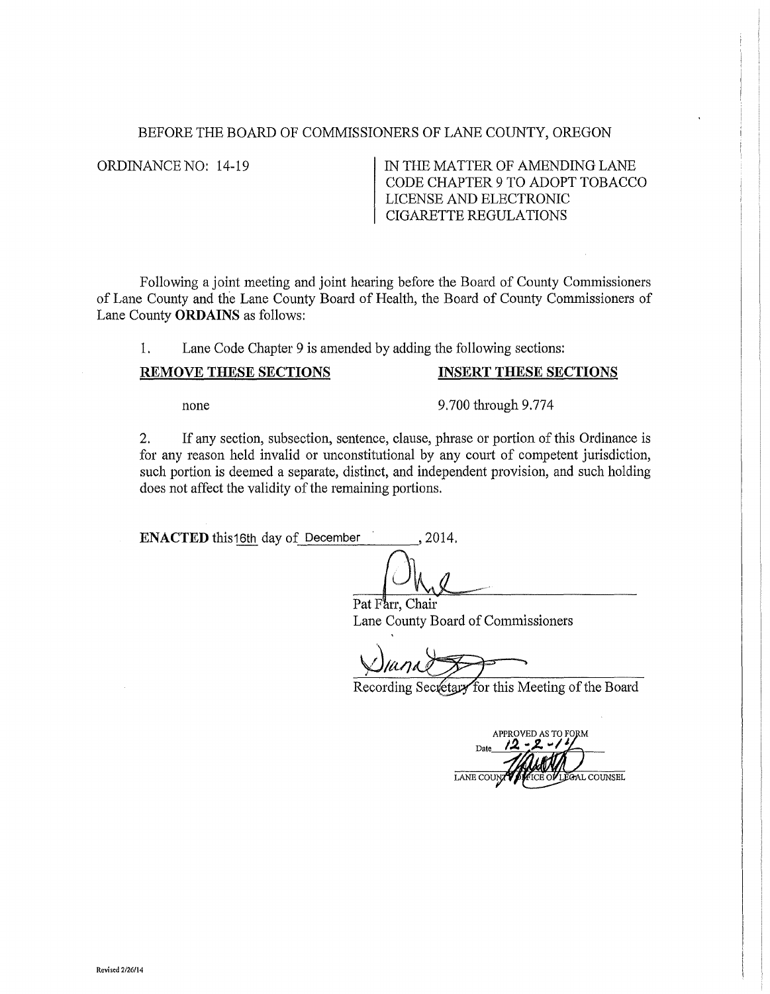## BEFORE THE BOARD OF COMMISSIONERS OF LANE COUNTY, OREGON

ORDINANCE NO: 14-19 IN THE MATTER OF AMENDING LANE CODE CHAPTER 9 TO ADOPT TOBACCO LICENSE AND ELECTRONIC CIGARETTE REGULATIONS

Following a joint meeting and joint hearing before the Board of County Commissioners of Lane County and the Lane County Board of Health, the Board of County Commissioners of Lane County **ORDAINS** as follows:

1. Lane Code Chapter 9 is amended by adding the following sections:

## **REMOVE THESE SECTIONS INSERT THESE SECTIONS**

none 9.700 through 9.774

2. If any section, subsection, sentence, clause, phrase or portion of this Ordinance is for any reason held invalid or unconstitutional by any court of competent jurisdiction, such portion is deemed a separate, distinct, and independent provision, and such holding does not affect the validity of the remaining portions.

**ENACTED** this16th day of December , 2014.

Pat Farr, Chair Lane County Board of Commissioners

Recording Secretary for this Meeting of the Board

APPROVED AS TO FORM AL COUNSEL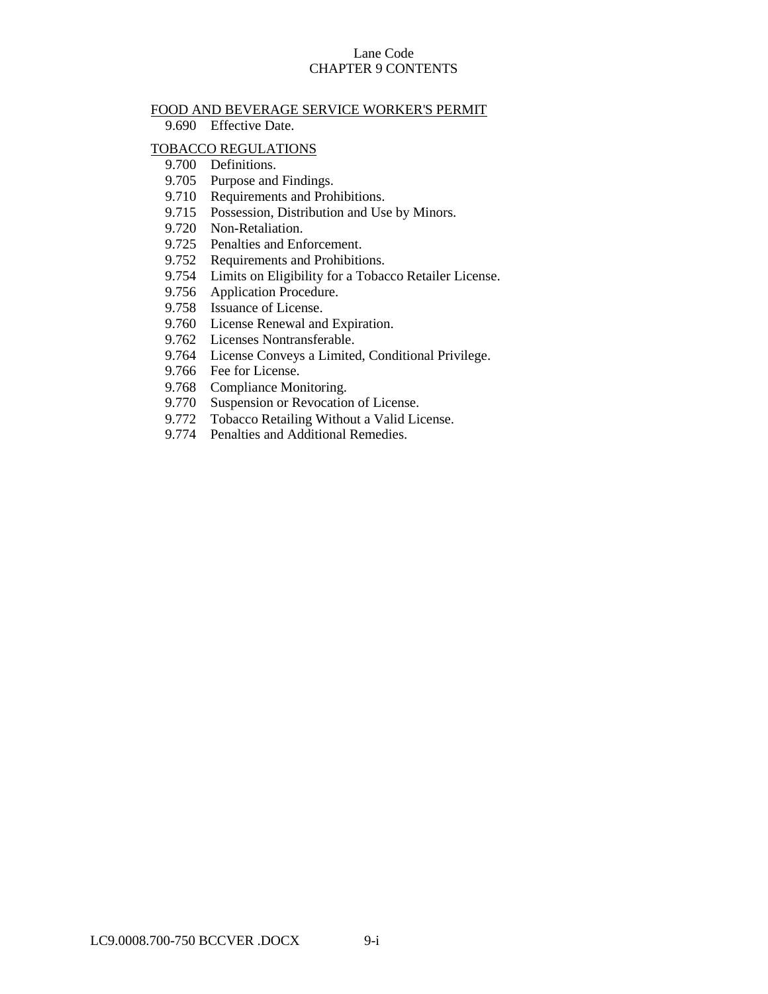## Lane Code CHAPTER 9 CONTENTS

#### FOOD AND BEVERAGE SERVICE WORKER'S PERMIT

9.690 Effective Date.

#### [TOBACCO REGULATIONS](#page-2-0)

- 9.700 [Definitions.](#page-2-1)
- 9.705 [Purpose and Findings.](#page-3-0)
- 9.710 [Requirements and Prohibitions.](#page-3-1)
- 9.715 [Possession, Distribution and Use by Minors.](#page-4-0)
- 9.720 [Non-Retaliation.](#page-4-1)
- 9.725 [Penalties and Enforcement.](#page-4-2)
- 9.752 [Requirements and Prohibitions.](#page-4-3)
- 9.754 [Limits on Eligibility for a Tobacco Retailer License.](#page-6-0)
- 9.756 [Application Procedure.](#page-6-1)
- 9.758 [Issuance of License.](#page-7-0)
- 9.760 [License Renewal and Expiration.](#page-7-1)
- 9.762 [Licenses Nontransferable.](#page-8-0)
- 9.764 [License Conveys a Limited, Conditional Privilege.](#page-8-1)
- 9.766 [Fee for License.](#page-8-2)
- 9.768 [Compliance Monitoring.](#page-8-3)
- 9.770 [Suspension or Revocation of License.](#page-9-0)
- 9.772 [Tobacco Retailing Without a Valid License.](#page-9-1)
- 9.774 [Penalties and Additional Remedies.](#page-10-0)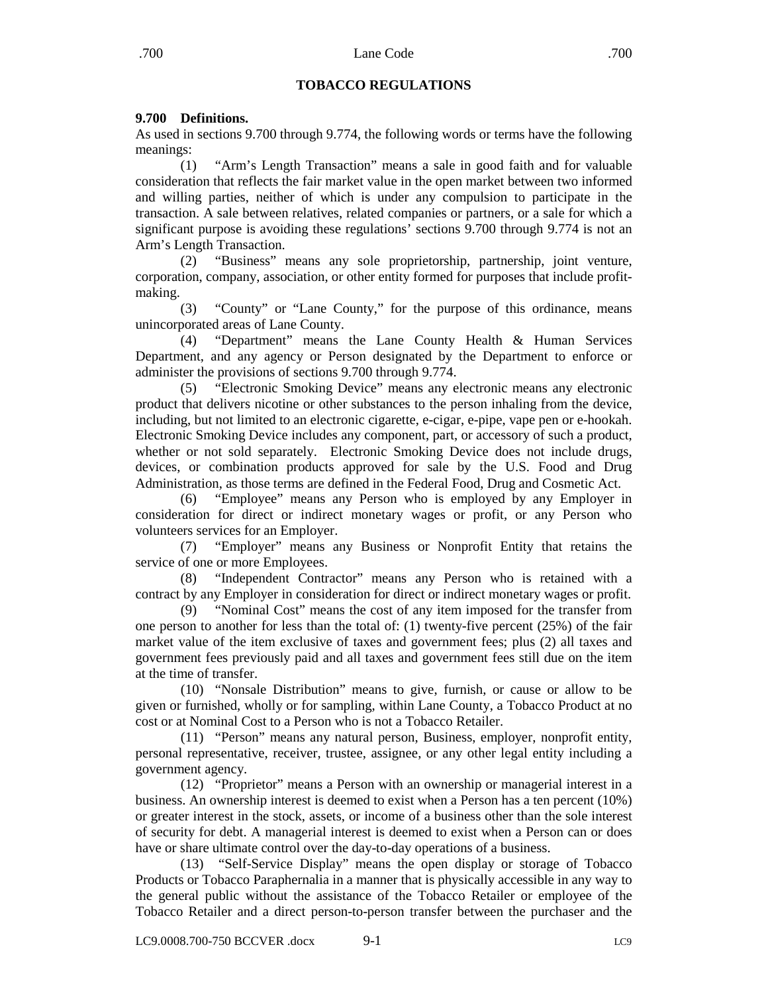# **TOBACCO REGULATIONS**

# <span id="page-2-1"></span><span id="page-2-0"></span>**9.700 Definitions.**

As used in sections 9.700 through 9.774, the following words or terms have the following meanings:

(1) "Arm's Length Transaction" means a sale in good faith and for valuable consideration that reflects the fair market value in the open market between two informed and willing parties, neither of which is under any compulsion to participate in the transaction. A sale between relatives, related companies or partners, or a sale for which a significant purpose is avoiding these regulations' sections 9.700 through 9.774 is not an Arm's Length Transaction.

(2) "Business" means any sole proprietorship, partnership, joint venture, corporation, company, association, or other entity formed for purposes that include profitmaking.

(3) "County" or "Lane County," for the purpose of this ordinance, means unincorporated areas of Lane County.

(4) "Department" means the Lane County Health & Human Services Department, and any agency or Person designated by the Department to enforce or administer the provisions of sections 9.700 through 9.774.

(5) "Electronic Smoking Device" means any electronic means any electronic product that delivers nicotine or other substances to the person inhaling from the device, including, but not limited to an electronic cigarette, e-cigar, e-pipe, vape pen or e-hookah. Electronic Smoking Device includes any component, part, or accessory of such a product, whether or not sold separately. Electronic Smoking Device does not include drugs, devices, or combination products approved for sale by the U.S. Food and Drug Administration, as those terms are defined in the Federal Food, Drug and Cosmetic Act.

(6) "Employee" means any Person who is employed by any Employer in consideration for direct or indirect monetary wages or profit, or any Person who volunteers services for an Employer.

(7) "Employer" means any Business or Nonprofit Entity that retains the service of one or more Employees.

(8) "Independent Contractor" means any Person who is retained with a contract by any Employer in consideration for direct or indirect monetary wages or profit.

(9) "Nominal Cost" means the cost of any item imposed for the transfer from one person to another for less than the total of: (1) twenty-five percent (25%) of the fair market value of the item exclusive of taxes and government fees; plus (2) all taxes and government fees previously paid and all taxes and government fees still due on the item at the time of transfer.

(10) "Nonsale Distribution" means to give, furnish, or cause or allow to be given or furnished, wholly or for sampling, within Lane County, a Tobacco Product at no cost or at Nominal Cost to a Person who is not a Tobacco Retailer.

(11) "Person" means any natural person, Business, employer, nonprofit entity, personal representative, receiver, trustee, assignee, or any other legal entity including a government agency.

(12) "Proprietor" means a Person with an ownership or managerial interest in a business. An ownership interest is deemed to exist when a Person has a ten percent (10%) or greater interest in the stock, assets, or income of a business other than the sole interest of security for debt. A managerial interest is deemed to exist when a Person can or does have or share ultimate control over the day-to-day operations of a business.

(13) "Self-Service Display" means the open display or storage of Tobacco Products or Tobacco Paraphernalia in a manner that is physically accessible in any way to the general public without the assistance of the Tobacco Retailer or employee of the Tobacco Retailer and a direct person-to-person transfer between the purchaser and the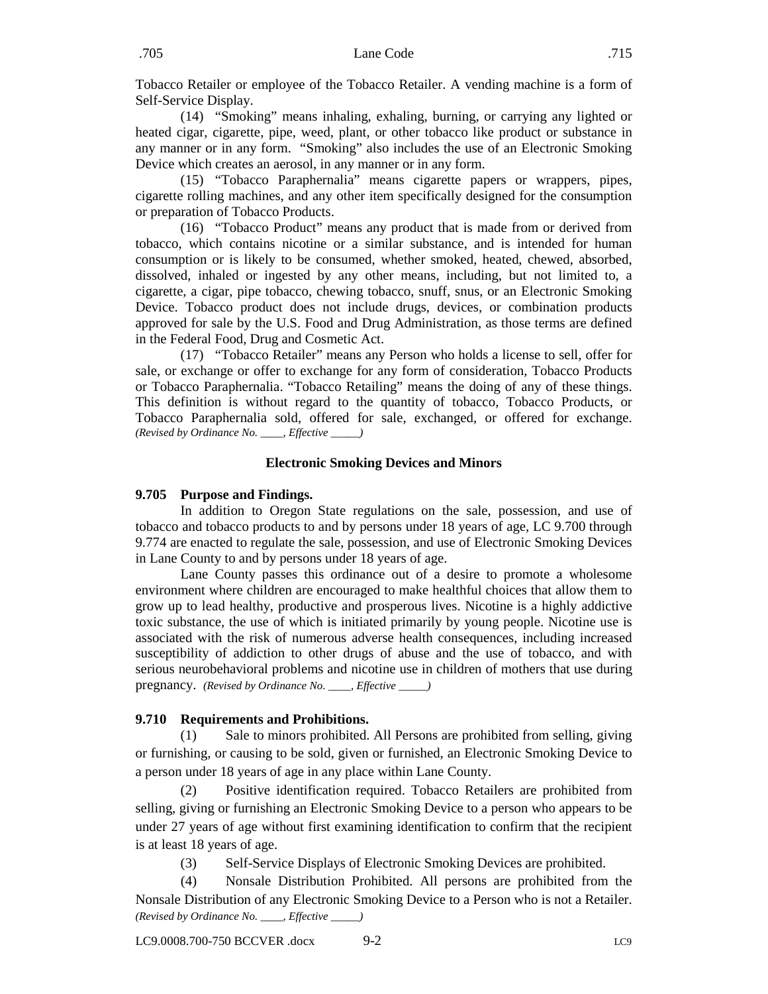Tobacco Retailer or employee of the Tobacco Retailer. A vending machine is a form of Self-Service Display.

(14) "Smoking" means inhaling, exhaling, burning, or carrying any lighted or heated cigar, cigarette, pipe, weed, plant, or other tobacco like product or substance in any manner or in any form. "Smoking" also includes the use of an Electronic Smoking Device which creates an aerosol, in any manner or in any form.

(15) "Tobacco Paraphernalia" means cigarette papers or wrappers, pipes, cigarette rolling machines, and any other item specifically designed for the consumption or preparation of Tobacco Products.

(16) "Tobacco Product" means any product that is made from or derived from tobacco, which contains nicotine or a similar substance, and is intended for human consumption or is likely to be consumed, whether smoked, heated, chewed, absorbed, dissolved, inhaled or ingested by any other means, including, but not limited to, a cigarette, a cigar, pipe tobacco, chewing tobacco, snuff, snus, or an Electronic Smoking Device. Tobacco product does not include drugs, devices, or combination products approved for sale by the U.S. Food and Drug Administration, as those terms are defined in the Federal Food, Drug and Cosmetic Act.

(17) "Tobacco Retailer" means any Person who holds a license to sell, offer for sale, or exchange or offer to exchange for any form of consideration, Tobacco Products or Tobacco Paraphernalia. "Tobacco Retailing" means the doing of any of these things. This definition is without regard to the quantity of tobacco, Tobacco Products, or Tobacco Paraphernalia sold, offered for sale, exchanged, or offered for exchange. *(Revised by Ordinance No. \_\_\_\_, Effective \_\_\_\_\_)*

#### **Electronic Smoking Devices and Minors**

#### <span id="page-3-0"></span>**9.705 Purpose and Findings.**

In addition to Oregon State regulations on the sale, possession, and use of tobacco and tobacco products to and by persons under 18 years of age, LC 9.700 through 9.774 are enacted to regulate the sale, possession, and use of Electronic Smoking Devices in Lane County to and by persons under 18 years of age.

Lane County passes this ordinance out of a desire to promote a wholesome environment where children are encouraged to make healthful choices that allow them to grow up to lead healthy, productive and prosperous lives. Nicotine is a highly addictive toxic substance, the use of which is initiated primarily by young people. Nicotine use is associated with the risk of numerous adverse health consequences, including increased susceptibility of addiction to other drugs of abuse and the use of tobacco, and with serious neurobehavioral problems and nicotine use in children of mothers that use during pregnancy. *(Revised by Ordinance No. \_\_\_\_, Effective \_\_\_\_\_)*

#### <span id="page-3-1"></span>**9.710 Requirements and Prohibitions.**

(1) Sale to minors prohibited. All Persons are prohibited from selling, giving or furnishing, or causing to be sold, given or furnished, an Electronic Smoking Device to a person under 18 years of age in any place within Lane County.

(2) Positive identification required. Tobacco Retailers are prohibited from selling, giving or furnishing an Electronic Smoking Device to a person who appears to be under 27 years of age without first examining identification to confirm that the recipient is at least 18 years of age.

(3) Self-Service Displays of Electronic Smoking Devices are prohibited.

(4) Nonsale Distribution Prohibited. All persons are prohibited from the Nonsale Distribution of any Electronic Smoking Device to a Person who is not a Retailer. *(Revised by Ordinance No. \_\_\_\_, Effective \_\_\_\_\_)*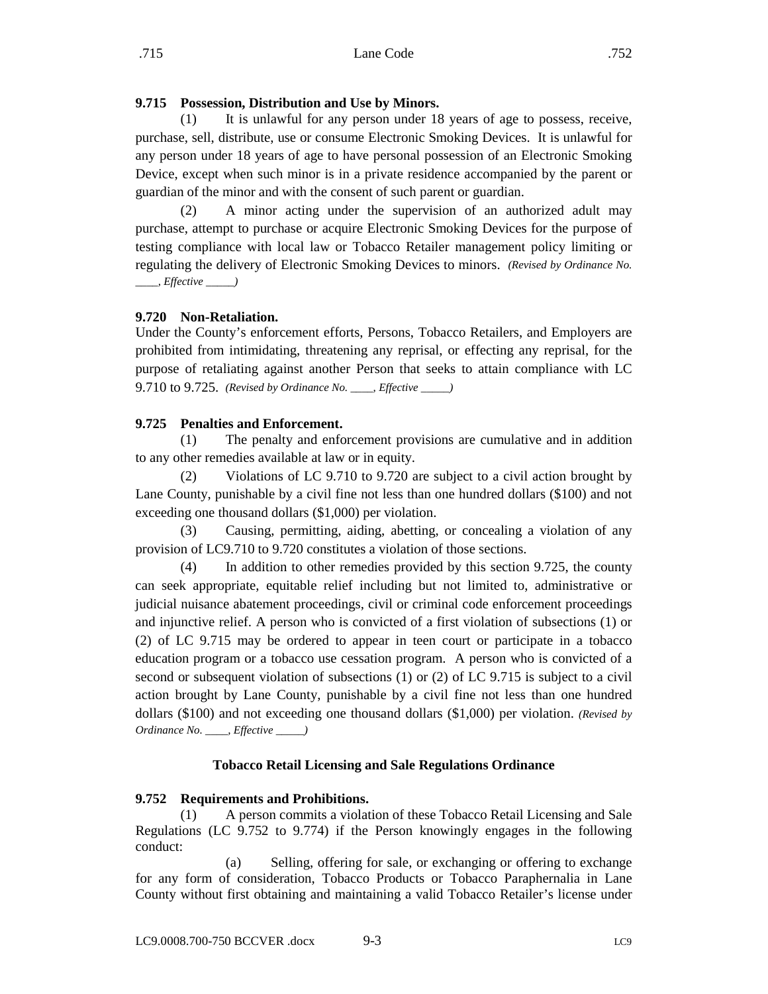# <span id="page-4-0"></span>**9.715 Possession, Distribution and Use by Minors.**

(1) It is unlawful for any person under 18 years of age to possess, receive, purchase, sell, distribute, use or consume Electronic Smoking Devices. It is unlawful for any person under 18 years of age to have personal possession of an Electronic Smoking Device, except when such minor is in a private residence accompanied by the parent or guardian of the minor and with the consent of such parent or guardian.

(2) A minor acting under the supervision of an authorized adult may purchase, attempt to purchase or acquire Electronic Smoking Devices for the purpose of testing compliance with local law or Tobacco Retailer management policy limiting or regulating the delivery of Electronic Smoking Devices to minors. *(Revised by Ordinance No. \_\_\_\_, Effective \_\_\_\_\_)*

## <span id="page-4-1"></span>**9.720 Non-Retaliation.**

Under the County's enforcement efforts, Persons, Tobacco Retailers, and Employers are prohibited from intimidating, threatening any reprisal, or effecting any reprisal, for the purpose of retaliating against another Person that seeks to attain compliance with LC 9.710 to 9.725. *(Revised by Ordinance No. \_\_\_\_, Effective \_\_\_\_\_)*

## <span id="page-4-2"></span>**9.725 Penalties and Enforcement.**

(1) The penalty and enforcement provisions are cumulative and in addition to any other remedies available at law or in equity.

(2) Violations of LC 9.710 to 9.720 are subject to a civil action brought by Lane County, punishable by a civil fine not less than one hundred dollars (\$100) and not exceeding one thousand dollars (\$1,000) per violation.

(3) Causing, permitting, aiding, abetting, or concealing a violation of any provision of LC9.710 to 9.720 constitutes a violation of those sections.

(4) In addition to other remedies provided by this section 9.725, the county can seek appropriate, equitable relief including but not limited to, administrative or judicial nuisance abatement proceedings, civil or criminal code enforcement proceedings and injunctive relief. A person who is convicted of a first violation of subsections (1) or (2) of LC 9.715 may be ordered to appear in teen court or participate in a tobacco education program or a tobacco use cessation program. A person who is convicted of a second or subsequent violation of subsections (1) or (2) of LC 9.715 is subject to a civil action brought by Lane County, punishable by a civil fine not less than one hundred dollars (\$100) and not exceeding one thousand dollars (\$1,000) per violation. *(Revised by Ordinance No. \_\_\_\_, Effective \_\_\_\_\_)*

## **Tobacco Retail Licensing and Sale Regulations Ordinance**

#### <span id="page-4-3"></span>**9.752 Requirements and Prohibitions.**

(1) A person commits a violation of these Tobacco Retail Licensing and Sale Regulations (LC 9.752 to 9.774) if the Person knowingly engages in the following conduct:

(a) Selling, offering for sale, or exchanging or offering to exchange for any form of consideration, Tobacco Products or Tobacco Paraphernalia in Lane County without first obtaining and maintaining a valid Tobacco Retailer's license under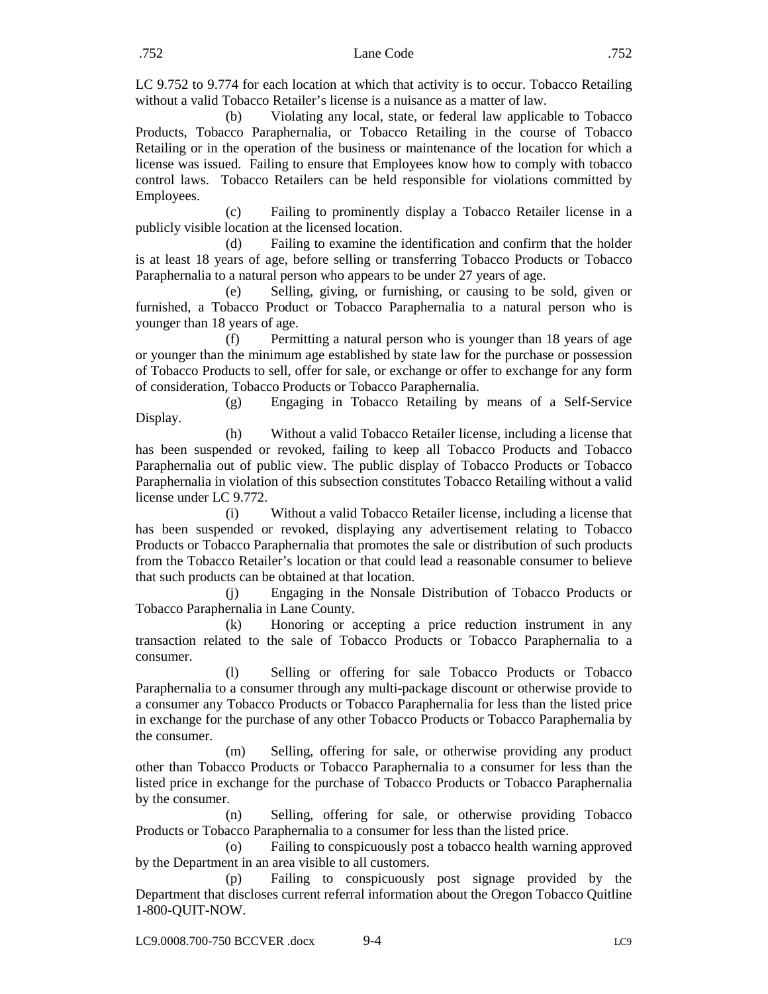LC 9.752 to 9.774 for each location at which that activity is to occur. Tobacco Retailing without a valid Tobacco Retailer's license is a nuisance as a matter of law.

(b) Violating any local, state, or federal law applicable to Tobacco Products, Tobacco Paraphernalia, or Tobacco Retailing in the course of Tobacco Retailing or in the operation of the business or maintenance of the location for which a license was issued. Failing to ensure that Employees know how to comply with tobacco control laws. Tobacco Retailers can be held responsible for violations committed by Employees.

(c) Failing to prominently display a Tobacco Retailer license in a publicly visible location at the licensed location.

(d) Failing to examine the identification and confirm that the holder is at least 18 years of age, before selling or transferring Tobacco Products or Tobacco Paraphernalia to a natural person who appears to be under 27 years of age.

(e) Selling, giving, or furnishing, or causing to be sold, given or furnished, a Tobacco Product or Tobacco Paraphernalia to a natural person who is younger than 18 years of age.

(f) Permitting a natural person who is younger than 18 years of age or younger than the minimum age established by state law for the purchase or possession of Tobacco Products to sell, offer for sale, or exchange or offer to exchange for any form of consideration, Tobacco Products or Tobacco Paraphernalia.

(g) Engaging in Tobacco Retailing by means of a Self-Service Display.

(h) Without a valid Tobacco Retailer license, including a license that has been suspended or revoked, failing to keep all Tobacco Products and Tobacco Paraphernalia out of public view. The public display of Tobacco Products or Tobacco Paraphernalia in violation of this subsection constitutes Tobacco Retailing without a valid license under LC 9.772.

(i) Without a valid Tobacco Retailer license, including a license that has been suspended or revoked, displaying any advertisement relating to Tobacco Products or Tobacco Paraphernalia that promotes the sale or distribution of such products from the Tobacco Retailer's location or that could lead a reasonable consumer to believe that such products can be obtained at that location.

(j) Engaging in the Nonsale Distribution of Tobacco Products or Tobacco Paraphernalia in Lane County.

(k) Honoring or accepting a price reduction instrument in any transaction related to the sale of Tobacco Products or Tobacco Paraphernalia to a consumer.

(l) Selling or offering for sale Tobacco Products or Tobacco Paraphernalia to a consumer through any multi-package discount or otherwise provide to a consumer any Tobacco Products or Tobacco Paraphernalia for less than the listed price in exchange for the purchase of any other Tobacco Products or Tobacco Paraphernalia by the consumer.

(m) Selling, offering for sale, or otherwise providing any product other than Tobacco Products or Tobacco Paraphernalia to a consumer for less than the listed price in exchange for the purchase of Tobacco Products or Tobacco Paraphernalia by the consumer.

(n) Selling, offering for sale, or otherwise providing Tobacco Products or Tobacco Paraphernalia to a consumer for less than the listed price.

(o) Failing to conspicuously post a tobacco health warning approved by the Department in an area visible to all customers.

(p) Failing to conspicuously post signage provided by the Department that discloses current referral information about the Oregon Tobacco Quitline 1-800-QUIT-NOW.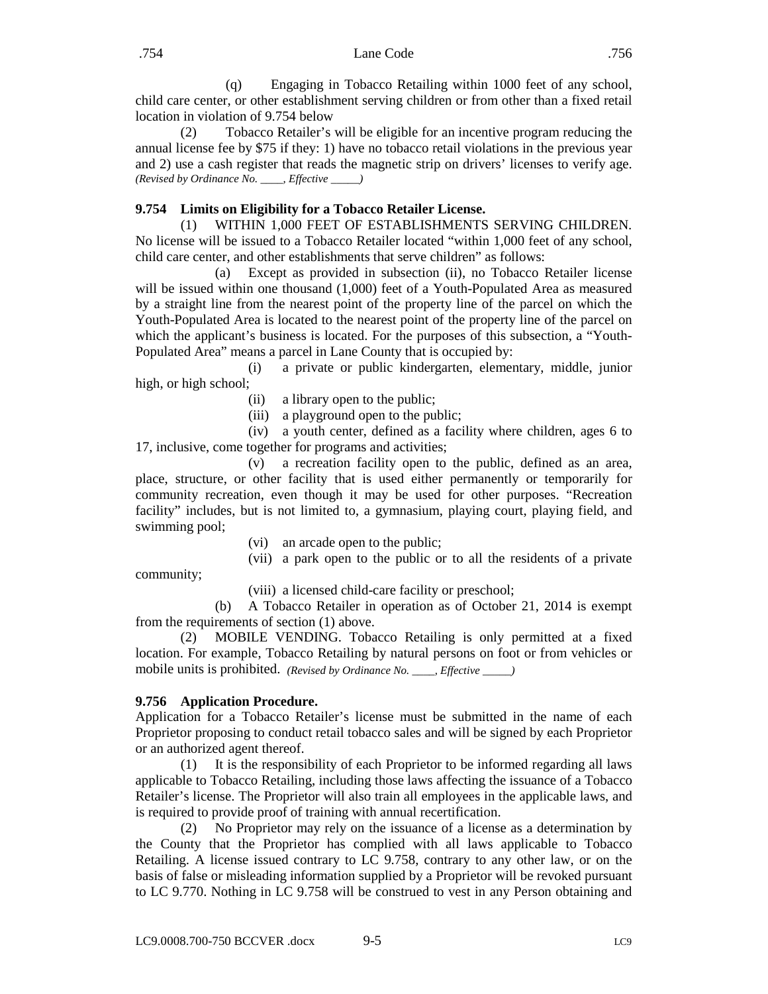(q) Engaging in Tobacco Retailing within 1000 feet of any school, child care center, or other establishment serving children or from other than a fixed retail location in violation of 9.754 below

(2) Tobacco Retailer's will be eligible for an incentive program reducing the annual license fee by \$75 if they: 1) have no tobacco retail violations in the previous year and 2) use a cash register that reads the magnetic strip on drivers' licenses to verify age. *(Revised by Ordinance No. \_\_\_\_, Effective \_\_\_\_\_)*

# <span id="page-6-0"></span>**9.754 Limits on Eligibility for a Tobacco Retailer License.**

(1) WITHIN 1,000 FEET OF ESTABLISHMENTS SERVING CHILDREN. No license will be issued to a Tobacco Retailer located "within 1,000 feet of any school, child care center, and other establishments that serve children" as follows:

(a) Except as provided in subsection (ii), no Tobacco Retailer license will be issued within one thousand (1,000) feet of a Youth-Populated Area as measured by a straight line from the nearest point of the property line of the parcel on which the Youth-Populated Area is located to the nearest point of the property line of the parcel on which the applicant's business is located. For the purposes of this subsection, a "Youth-Populated Area" means a parcel in Lane County that is occupied by:

(i) a private or public kindergarten, elementary, middle, junior high, or high school;

- (ii) a library open to the public;
- (iii) a playground open to the public;

(iv) a youth center, defined as a facility where children, ages 6 to 17, inclusive, come together for programs and activities;

(v) a recreation facility open to the public, defined as an area, place, structure, or other facility that is used either permanently or temporarily for community recreation, even though it may be used for other purposes. "Recreation facility" includes, but is not limited to, a gymnasium, playing court, playing field, and swimming pool;

(vi) an arcade open to the public;

(vii) a park open to the public or to all the residents of a private

(viii) a licensed child-care facility or preschool;

(b) A Tobacco Retailer in operation as of October 21, 2014 is exempt from the requirements of section (1) above.

(2) MOBILE VENDING. Tobacco Retailing is only permitted at a fixed location. For example, Tobacco Retailing by natural persons on foot or from vehicles or mobile units is prohibited. *(Revised by Ordinance No. \_\_\_\_, Effective \_\_\_\_\_)*

# <span id="page-6-1"></span>**9.756 Application Procedure.**

community;

Application for a Tobacco Retailer's license must be submitted in the name of each Proprietor proposing to conduct retail tobacco sales and will be signed by each Proprietor or an authorized agent thereof.

(1) It is the responsibility of each Proprietor to be informed regarding all laws applicable to Tobacco Retailing, including those laws affecting the issuance of a Tobacco Retailer's license. The Proprietor will also train all employees in the applicable laws, and is required to provide proof of training with annual recertification.

(2) No Proprietor may rely on the issuance of a license as a determination by the County that the Proprietor has complied with all laws applicable to Tobacco Retailing. A license issued contrary to LC 9.758, contrary to any other law, or on the basis of false or misleading information supplied by a Proprietor will be revoked pursuant to LC 9.770. Nothing in LC 9.758 will be construed to vest in any Person obtaining and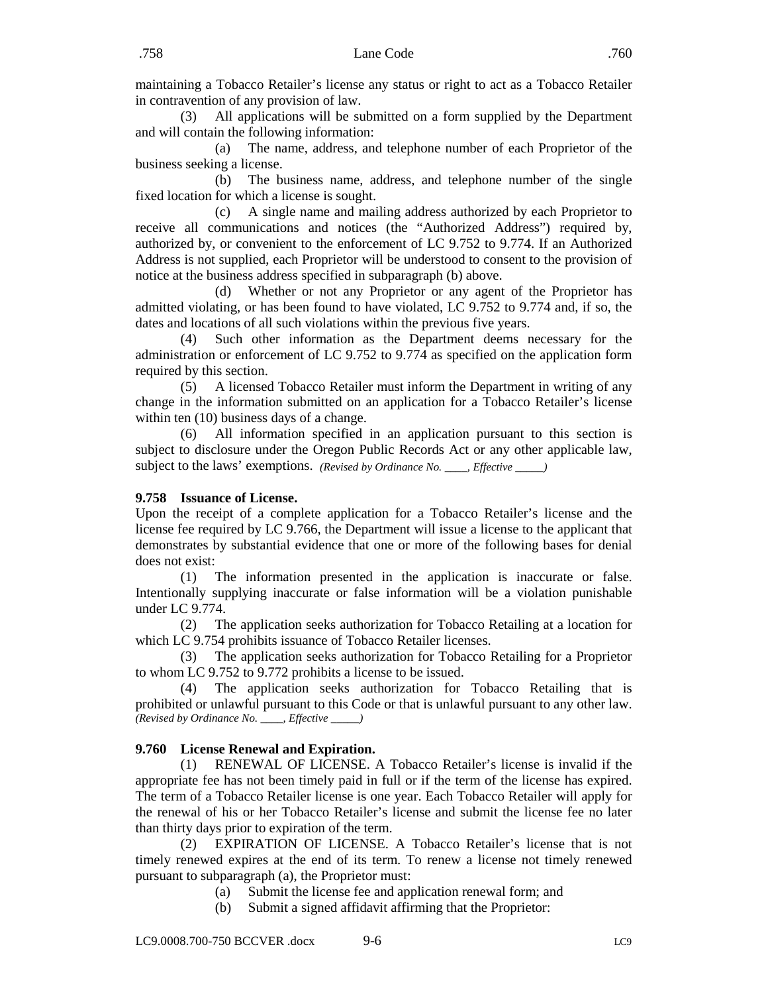maintaining a Tobacco Retailer's license any status or right to act as a Tobacco Retailer in contravention of any provision of law.

(3) All applications will be submitted on a form supplied by the Department and will contain the following information:

(a) The name, address, and telephone number of each Proprietor of the business seeking a license.

(b) The business name, address, and telephone number of the single fixed location for which a license is sought.

(c) A single name and mailing address authorized by each Proprietor to receive all communications and notices (the "Authorized Address") required by, authorized by, or convenient to the enforcement of LC 9.752 to 9.774. If an Authorized Address is not supplied, each Proprietor will be understood to consent to the provision of notice at the business address specified in subparagraph (b) above.

(d) Whether or not any Proprietor or any agent of the Proprietor has admitted violating, or has been found to have violated, LC 9.752 to 9.774 and, if so, the dates and locations of all such violations within the previous five years.

(4) Such other information as the Department deems necessary for the administration or enforcement of LC 9.752 to 9.774 as specified on the application form required by this section.

(5) A licensed Tobacco Retailer must inform the Department in writing of any change in the information submitted on an application for a Tobacco Retailer's license within ten  $(10)$  business days of a change.

(6) All information specified in an application pursuant to this section is subject to disclosure under the Oregon Public Records Act or any other applicable law, subject to the laws' exemptions. *(Revised by Ordinance No. \_\_\_\_, Effective \_\_\_\_\_)*

## <span id="page-7-0"></span>**9.758 Issuance of License.**

Upon the receipt of a complete application for a Tobacco Retailer's license and the license fee required by LC 9.766, the Department will issue a license to the applicant that demonstrates by substantial evidence that one or more of the following bases for denial does not exist:

(1) The information presented in the application is inaccurate or false. Intentionally supplying inaccurate or false information will be a violation punishable under LC 9.774.

(2) The application seeks authorization for Tobacco Retailing at a location for which LC 9.754 prohibits issuance of Tobacco Retailer licenses.

(3) The application seeks authorization for Tobacco Retailing for a Proprietor to whom LC 9.752 to 9.772 prohibits a license to be issued.

(4) The application seeks authorization for Tobacco Retailing that is prohibited or unlawful pursuant to this Code or that is unlawful pursuant to any other law. *(Revised by Ordinance No. \_\_\_\_, Effective \_\_\_\_\_)*

## <span id="page-7-1"></span>**9.760 License Renewal and Expiration.**

(1) RENEWAL OF LICENSE. A Tobacco Retailer's license is invalid if the appropriate fee has not been timely paid in full or if the term of the license has expired. The term of a Tobacco Retailer license is one year. Each Tobacco Retailer will apply for the renewal of his or her Tobacco Retailer's license and submit the license fee no later than thirty days prior to expiration of the term.

(2) EXPIRATION OF LICENSE. A Tobacco Retailer's license that is not timely renewed expires at the end of its term. To renew a license not timely renewed pursuant to subparagraph (a), the Proprietor must:

- (a) Submit the license fee and application renewal form; and
- (b) Submit a signed affidavit affirming that the Proprietor: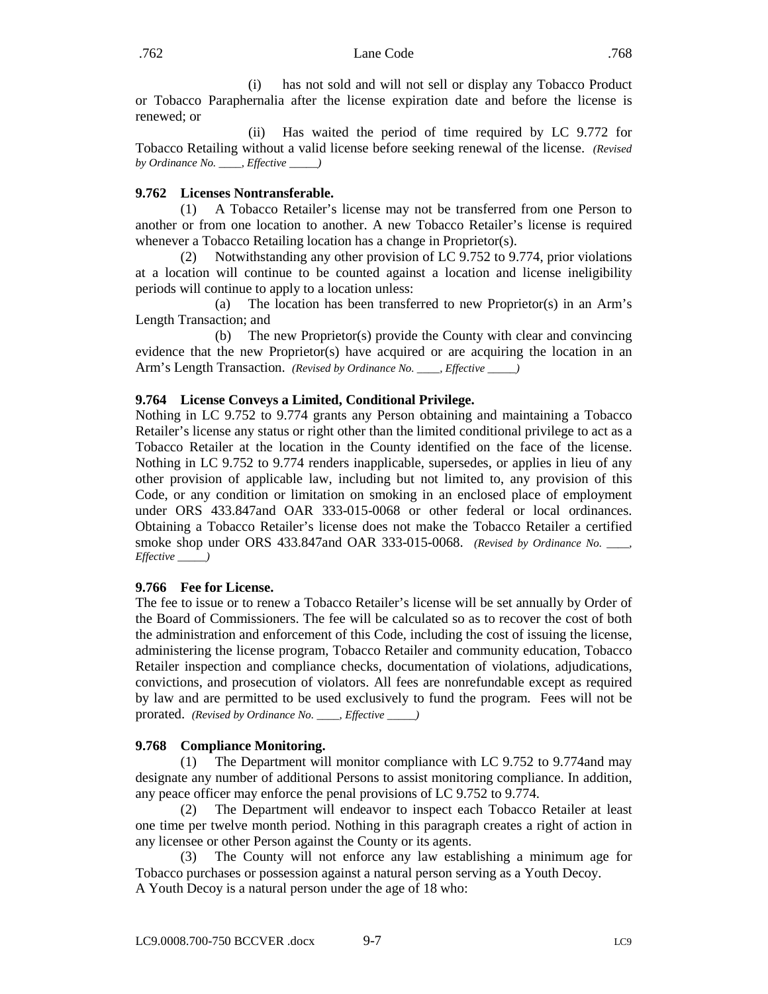(i) has not sold and will not sell or display any Tobacco Product or Tobacco Paraphernalia after the license expiration date and before the license is renewed; or

(ii) Has waited the period of time required by LC 9.772 for Tobacco Retailing without a valid license before seeking renewal of the license. *(Revised by Ordinance No. \_\_\_\_, Effective \_\_\_\_\_)*

## <span id="page-8-0"></span>**9.762 Licenses Nontransferable.**

(1) A Tobacco Retailer's license may not be transferred from one Person to another or from one location to another. A new Tobacco Retailer's license is required whenever a Tobacco Retailing location has a change in Proprietor(s).

(2) Notwithstanding any other provision of LC 9.752 to 9.774, prior violations at a location will continue to be counted against a location and license ineligibility periods will continue to apply to a location unless:

(a) The location has been transferred to new Proprietor(s) in an Arm's Length Transaction; and

(b) The new Proprietor(s) provide the County with clear and convincing evidence that the new Proprietor(s) have acquired or are acquiring the location in an Arm's Length Transaction. *(Revised by Ordinance No. \_\_\_\_, Effective \_\_\_\_\_)*

## <span id="page-8-1"></span>**9.764 License Conveys a Limited, Conditional Privilege.**

Nothing in LC 9.752 to 9.774 grants any Person obtaining and maintaining a Tobacco Retailer's license any status or right other than the limited conditional privilege to act as a Tobacco Retailer at the location in the County identified on the face of the license. Nothing in LC 9.752 to 9.774 renders inapplicable, supersedes, or applies in lieu of any other provision of applicable law, including but not limited to, any provision of this Code, or any condition or limitation on smoking in an enclosed place of employment under ORS 433.847and OAR 333-015-0068 or other federal or local ordinances. Obtaining a Tobacco Retailer's license does not make the Tobacco Retailer a certified smoke shop under ORS 433.847and OAR 333-015-0068. *(Revised by Ordinance No. \_\_\_\_, Effective \_\_\_\_\_)*

#### <span id="page-8-2"></span>**9.766 Fee for License.**

The fee to issue or to renew a Tobacco Retailer's license will be set annually by Order of the Board of Commissioners. The fee will be calculated so as to recover the cost of both the administration and enforcement of this Code, including the cost of issuing the license, administering the license program, Tobacco Retailer and community education, Tobacco Retailer inspection and compliance checks, documentation of violations, adjudications, convictions, and prosecution of violators. All fees are nonrefundable except as required by law and are permitted to be used exclusively to fund the program. Fees will not be prorated. *(Revised by Ordinance No. \_\_\_\_, Effective \_\_\_\_\_)*

## <span id="page-8-3"></span>**9.768 Compliance Monitoring.**

(1) The Department will monitor compliance with LC 9.752 to 9.774and may designate any number of additional Persons to assist monitoring compliance. In addition, any peace officer may enforce the penal provisions of LC 9.752 to 9.774.

(2) The Department will endeavor to inspect each Tobacco Retailer at least one time per twelve month period. Nothing in this paragraph creates a right of action in any licensee or other Person against the County or its agents.

(3) The County will not enforce any law establishing a minimum age for Tobacco purchases or possession against a natural person serving as a Youth Decoy. A Youth Decoy is a natural person under the age of 18 who: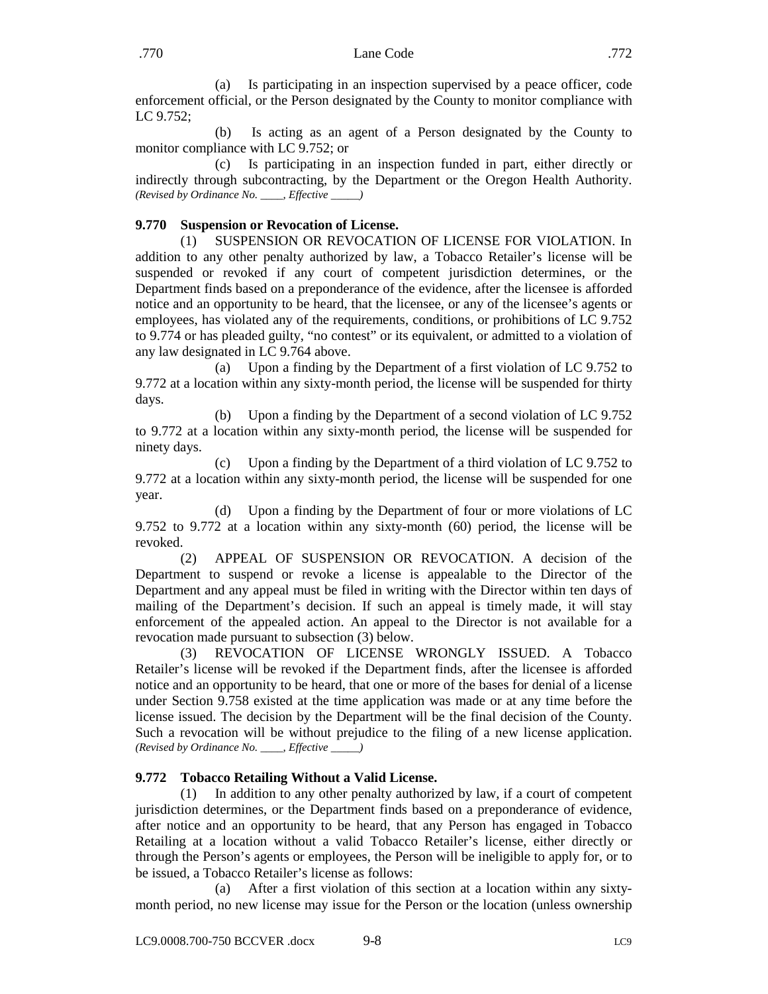(a) Is participating in an inspection supervised by a peace officer, code enforcement official, or the Person designated by the County to monitor compliance with LC 9.752;

(b) Is acting as an agent of a Person designated by the County to monitor compliance with LC 9.752; or

(c) Is participating in an inspection funded in part, either directly or indirectly through subcontracting, by the Department or the Oregon Health Authority. *(Revised by Ordinance No. \_\_\_\_, Effective \_\_\_\_\_)*

## <span id="page-9-0"></span>**9.770 Suspension or Revocation of License.**

(1) SUSPENSION OR REVOCATION OF LICENSE FOR VIOLATION. In addition to any other penalty authorized by law, a Tobacco Retailer's license will be suspended or revoked if any court of competent jurisdiction determines, or the Department finds based on a preponderance of the evidence, after the licensee is afforded notice and an opportunity to be heard, that the licensee, or any of the licensee's agents or employees, has violated any of the requirements, conditions, or prohibitions of LC 9.752 to 9.774 or has pleaded guilty, "no contest" or its equivalent, or admitted to a violation of any law designated in LC 9.764 above.

(a) Upon a finding by the Department of a first violation of LC 9.752 to 9.772 at a location within any sixty-month period, the license will be suspended for thirty days.

(b) Upon a finding by the Department of a second violation of LC 9.752 to 9.772 at a location within any sixty-month period, the license will be suspended for ninety days.

(c) Upon a finding by the Department of a third violation of LC 9.752 to 9.772 at a location within any sixty-month period, the license will be suspended for one year.

(d) Upon a finding by the Department of four or more violations of LC 9.752 to 9.772 at a location within any sixty-month (60) period, the license will be revoked.

(2) APPEAL OF SUSPENSION OR REVOCATION. A decision of the Department to suspend or revoke a license is appealable to the Director of the Department and any appeal must be filed in writing with the Director within ten days of mailing of the Department's decision. If such an appeal is timely made, it will stay enforcement of the appealed action. An appeal to the Director is not available for a revocation made pursuant to subsection (3) below.

(3) REVOCATION OF LICENSE WRONGLY ISSUED. A Tobacco Retailer's license will be revoked if the Department finds, after the licensee is afforded notice and an opportunity to be heard, that one or more of the bases for denial of a license under Section 9.758 existed at the time application was made or at any time before the license issued. The decision by the Department will be the final decision of the County. Such a revocation will be without prejudice to the filing of a new license application. *(Revised by Ordinance No. \_\_\_\_, Effective \_\_\_\_\_)*

## <span id="page-9-1"></span>**9.772 Tobacco Retailing Without a Valid License.**

(1) In addition to any other penalty authorized by law, if a court of competent jurisdiction determines, or the Department finds based on a preponderance of evidence, after notice and an opportunity to be heard, that any Person has engaged in Tobacco Retailing at a location without a valid Tobacco Retailer's license, either directly or through the Person's agents or employees, the Person will be ineligible to apply for, or to be issued, a Tobacco Retailer's license as follows:

(a) After a first violation of this section at a location within any sixtymonth period, no new license may issue for the Person or the location (unless ownership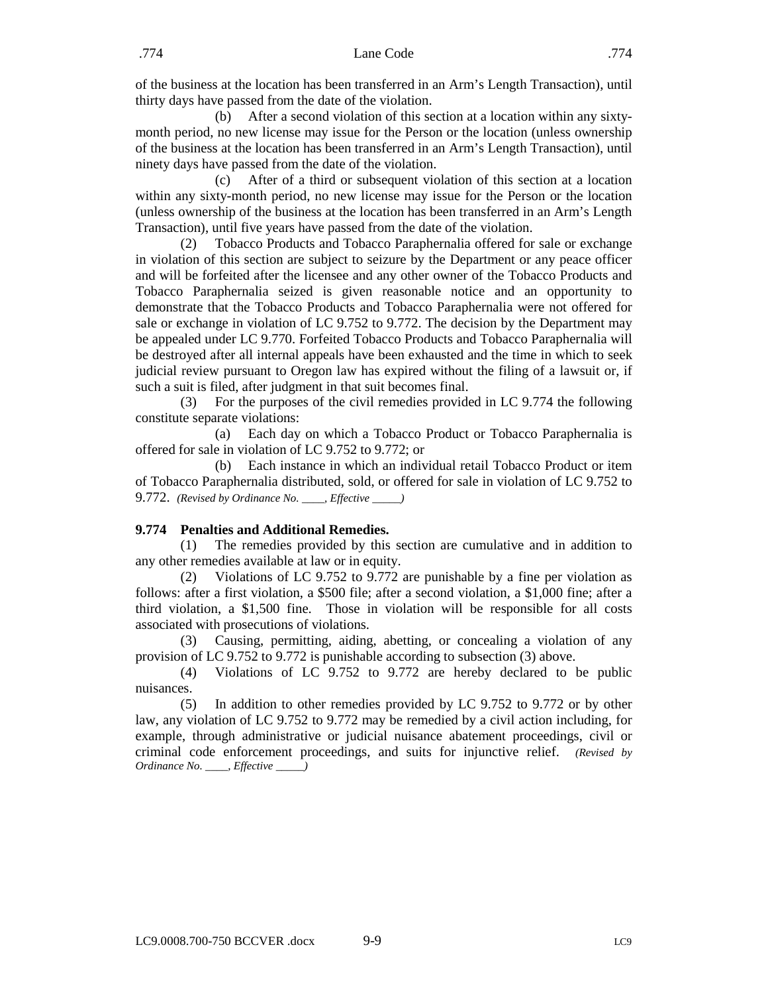of the business at the location has been transferred in an Arm's Length Transaction), until thirty days have passed from the date of the violation.

(b) After a second violation of this section at a location within any sixtymonth period, no new license may issue for the Person or the location (unless ownership of the business at the location has been transferred in an Arm's Length Transaction), until ninety days have passed from the date of the violation.

(c) After of a third or subsequent violation of this section at a location within any sixty-month period, no new license may issue for the Person or the location (unless ownership of the business at the location has been transferred in an Arm's Length Transaction), until five years have passed from the date of the violation.

(2) Tobacco Products and Tobacco Paraphernalia offered for sale or exchange in violation of this section are subject to seizure by the Department or any peace officer and will be forfeited after the licensee and any other owner of the Tobacco Products and Tobacco Paraphernalia seized is given reasonable notice and an opportunity to demonstrate that the Tobacco Products and Tobacco Paraphernalia were not offered for sale or exchange in violation of LC 9.752 to 9.772. The decision by the Department may be appealed under LC 9.770. Forfeited Tobacco Products and Tobacco Paraphernalia will be destroyed after all internal appeals have been exhausted and the time in which to seek judicial review pursuant to Oregon law has expired without the filing of a lawsuit or, if such a suit is filed, after judgment in that suit becomes final.

(3) For the purposes of the civil remedies provided in LC 9.774 the following constitute separate violations:

(a) Each day on which a Tobacco Product or Tobacco Paraphernalia is offered for sale in violation of LC 9.752 to 9.772; or

(b) Each instance in which an individual retail Tobacco Product or item of Tobacco Paraphernalia distributed, sold, or offered for sale in violation of LC 9.752 to 9.772. *(Revised by Ordinance No. \_\_\_\_, Effective \_\_\_\_\_)*

#### <span id="page-10-0"></span>**9.774 Penalties and Additional Remedies.**

(1) The remedies provided by this section are cumulative and in addition to any other remedies available at law or in equity.

(2) Violations of LC 9.752 to 9.772 are punishable by a fine per violation as follows: after a first violation, a \$500 file; after a second violation, a \$1,000 fine; after a third violation, a \$1,500 fine. Those in violation will be responsible for all costs associated with prosecutions of violations.

(3) Causing, permitting, aiding, abetting, or concealing a violation of any provision of LC 9.752 to 9.772 is punishable according to subsection (3) above.

(4) Violations of LC 9.752 to 9.772 are hereby declared to be public nuisances.

(5) In addition to other remedies provided by LC 9.752 to 9.772 or by other law, any violation of LC 9.752 to 9.772 may be remedied by a civil action including, for example, through administrative or judicial nuisance abatement proceedings, civil or criminal code enforcement proceedings, and suits for injunctive relief. *(Revised by Ordinance No. \_\_\_\_, Effective \_\_\_\_\_)*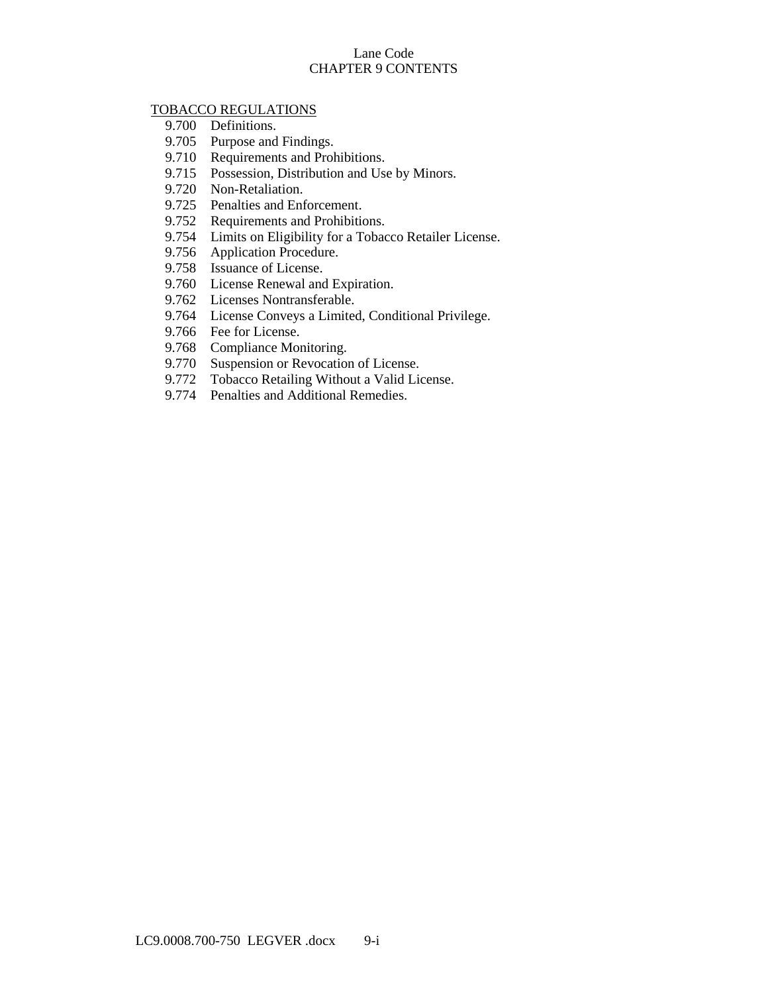## Lane Code CHAPTER 9 CONTENTS

## [TOBACCO REGULATIONS](#page-12-0)

- 9.700 [Definitions.](#page-12-1)
- 9.705 [Purpose and Findings.](#page-13-0)
- 9.710 [Requirements and Prohibitions.](#page-14-0)
- 9.715 [Possession, Distribution and Use by Minors.](#page-14-1)
- 9.720 [Non-Retaliation.](#page-14-2)
- 9.725 [Penalties and Enforcement.](#page-14-3)
- 9.752 [Requirements and Prohibitions.](#page-15-0)
- 9.754 [Limits on Eligibility for a Tobacco Retailer License.](#page-16-0)
- 9.756 [Application Procedure.](#page-17-0)
- 9.758 [Issuance of License.](#page-18-0)
- 9.760 [License Renewal and Expiration.](#page-18-1)
- 9.762 [Licenses Nontransferable.](#page-18-2)
- 9.764 [License Conveys a Limited, Conditional Privilege.](#page-19-0)
- 9.766 [Fee for License.](#page-19-1)
- 9.768 [Compliance Monitoring.](#page-19-2)
- 9.770 [Suspension or Revocation of License.](#page-20-0)
- 9.772 [Tobacco Retailing Without a Valid License.](#page-20-1)
- 9.774 [Penalties and Additional Remedies.](#page-21-0)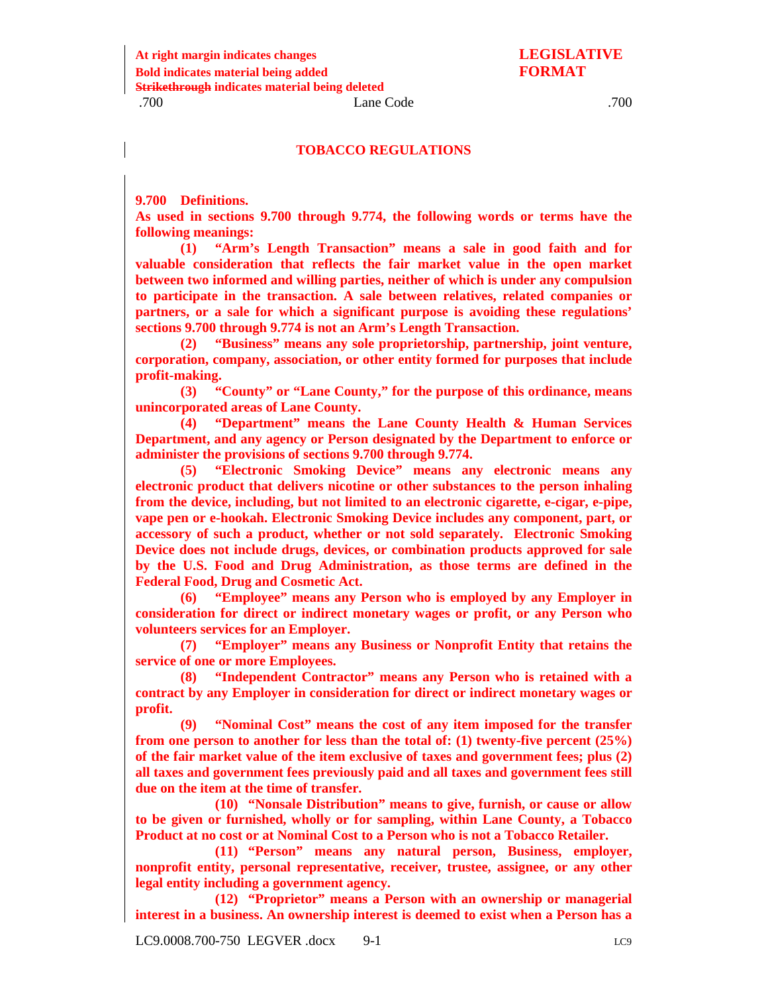#### **TOBACCO REGULATIONS**

<span id="page-12-1"></span><span id="page-12-0"></span>**9.700 Definitions.** 

**As used in sections 9.700 through 9.774, the following words or terms have the following meanings:**

**(1) "Arm's Length Transaction" means a sale in good faith and for valuable consideration that reflects the fair market value in the open market between two informed and willing parties, neither of which is under any compulsion to participate in the transaction. A sale between relatives, related companies or partners, or a sale for which a significant purpose is avoiding these regulations' sections 9.700 through 9.774 is not an Arm's Length Transaction.**

**(2) "Business" means any sole proprietorship, partnership, joint venture, corporation, company, association, or other entity formed for purposes that include profit-making.** 

**(3) "County" or "Lane County," for the purpose of this ordinance, means unincorporated areas of Lane County.**

**(4) "Department" means the Lane County Health & Human Services Department, and any agency or Person designated by the Department to enforce or administer the provisions of sections 9.700 through 9.774.**

**(5) "Electronic Smoking Device" means any electronic means any electronic product that delivers nicotine or other substances to the person inhaling from the device, including, but not limited to an electronic cigarette, e-cigar, e-pipe, vape pen or e-hookah. Electronic Smoking Device includes any component, part, or accessory of such a product, whether or not sold separately. Electronic Smoking Device does not include drugs, devices, or combination products approved for sale by the U.S. Food and Drug Administration, as those terms are defined in the Federal Food, Drug and Cosmetic Act.**

**(6) "Employee" means any Person who is employed by any Employer in consideration for direct or indirect monetary wages or profit, or any Person who volunteers services for an Employer.**

**(7) "Employer" means any Business or Nonprofit Entity that retains the service of one or more Employees.**

**(8) "Independent Contractor" means any Person who is retained with a contract by any Employer in consideration for direct or indirect monetary wages or profit.**

**(9) "Nominal Cost" means the cost of any item imposed for the transfer from one person to another for less than the total of: (1) twenty-five percent (25%) of the fair market value of the item exclusive of taxes and government fees; plus (2) all taxes and government fees previously paid and all taxes and government fees still due on the item at the time of transfer.**

**(10) "Nonsale Distribution" means to give, furnish, or cause or allow to be given or furnished, wholly or for sampling, within Lane County, a Tobacco Product at no cost or at Nominal Cost to a Person who is not a Tobacco Retailer.** 

**(11) "Person" means any natural person, Business, employer, nonprofit entity, personal representative, receiver, trustee, assignee, or any other legal entity including a government agency.**

**(12) "Proprietor" means a Person with an ownership or managerial interest in a business. An ownership interest is deemed to exist when a Person has a**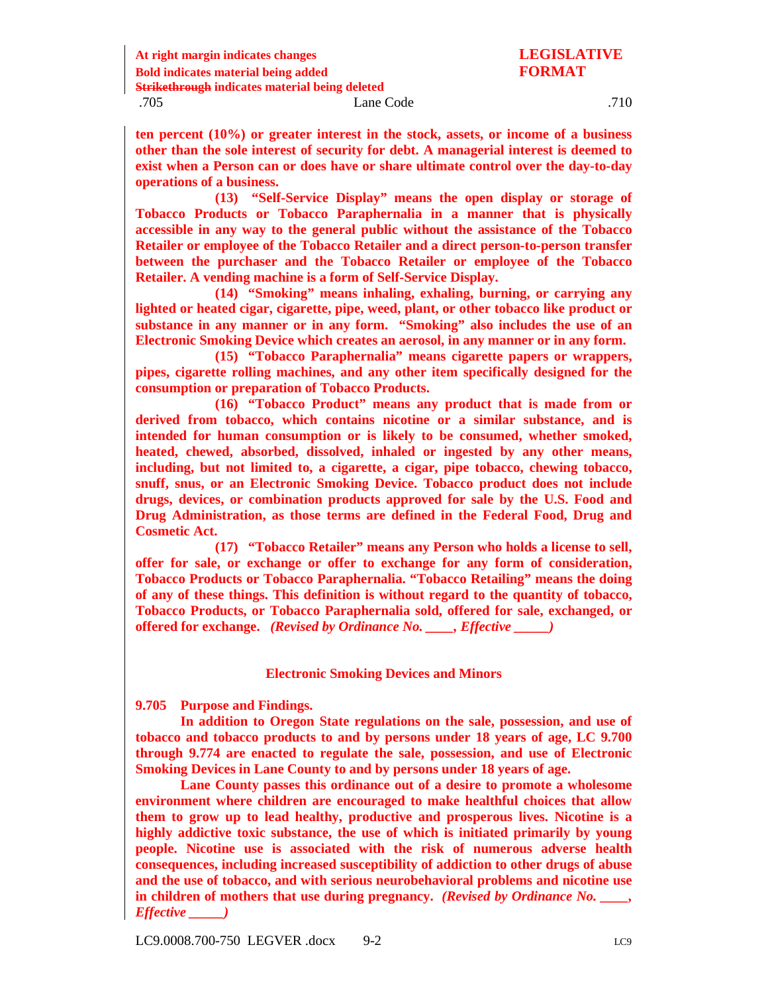**ten percent (10%) or greater interest in the stock, assets, or income of a business other than the sole interest of security for debt. A managerial interest is deemed to exist when a Person can or does have or share ultimate control over the day-to-day operations of a business.**

**(13) "Self-Service Display" means the open display or storage of Tobacco Products or Tobacco Paraphernalia in a manner that is physically accessible in any way to the general public without the assistance of the Tobacco Retailer or employee of the Tobacco Retailer and a direct person-to-person transfer between the purchaser and the Tobacco Retailer or employee of the Tobacco Retailer. A vending machine is a form of Self-Service Display.**

**(14) "Smoking" means inhaling, exhaling, burning, or carrying any lighted or heated cigar, cigarette, pipe, weed, plant, or other tobacco like product or substance in any manner or in any form. "Smoking" also includes the use of an Electronic Smoking Device which creates an aerosol, in any manner or in any form.**

**(15) "Tobacco Paraphernalia" means cigarette papers or wrappers, pipes, cigarette rolling machines, and any other item specifically designed for the consumption or preparation of Tobacco Products.**

**(16) "Tobacco Product" means any product that is made from or derived from tobacco, which contains nicotine or a similar substance, and is intended for human consumption or is likely to be consumed, whether smoked, heated, chewed, absorbed, dissolved, inhaled or ingested by any other means, including, but not limited to, a cigarette, a cigar, pipe tobacco, chewing tobacco, snuff, snus, or an Electronic Smoking Device. Tobacco product does not include drugs, devices, or combination products approved for sale by the U.S. Food and Drug Administration, as those terms are defined in the Federal Food, Drug and Cosmetic Act.**

**(17) "Tobacco Retailer" means any Person who holds a license to sell, offer for sale, or exchange or offer to exchange for any form of consideration, Tobacco Products or Tobacco Paraphernalia. "Tobacco Retailing" means the doing of any of these things. This definition is without regard to the quantity of tobacco, Tobacco Products, or Tobacco Paraphernalia sold, offered for sale, exchanged, or offered for exchange.** *(Revised by Ordinance No. \_\_\_\_, Effective \_\_\_\_\_)*

#### **Electronic Smoking Devices and Minors**

<span id="page-13-0"></span>**9.705 Purpose and Findings.** 

**In addition to Oregon State regulations on the sale, possession, and use of tobacco and tobacco products to and by persons under 18 years of age, LC 9.700 through 9.774 are enacted to regulate the sale, possession, and use of Electronic Smoking Devices in Lane County to and by persons under 18 years of age.**

**Lane County passes this ordinance out of a desire to promote a wholesome environment where children are encouraged to make healthful choices that allow them to grow up to lead healthy, productive and prosperous lives. Nicotine is a highly addictive toxic substance, the use of which is initiated primarily by young people. Nicotine use is associated with the risk of numerous adverse health consequences, including increased susceptibility of addiction to other drugs of abuse and the use of tobacco, and with serious neurobehavioral problems and nicotine use in children of mothers that use during pregnancy.** *(Revised by Ordinance No. \_\_\_\_, Effective \_\_\_\_\_)*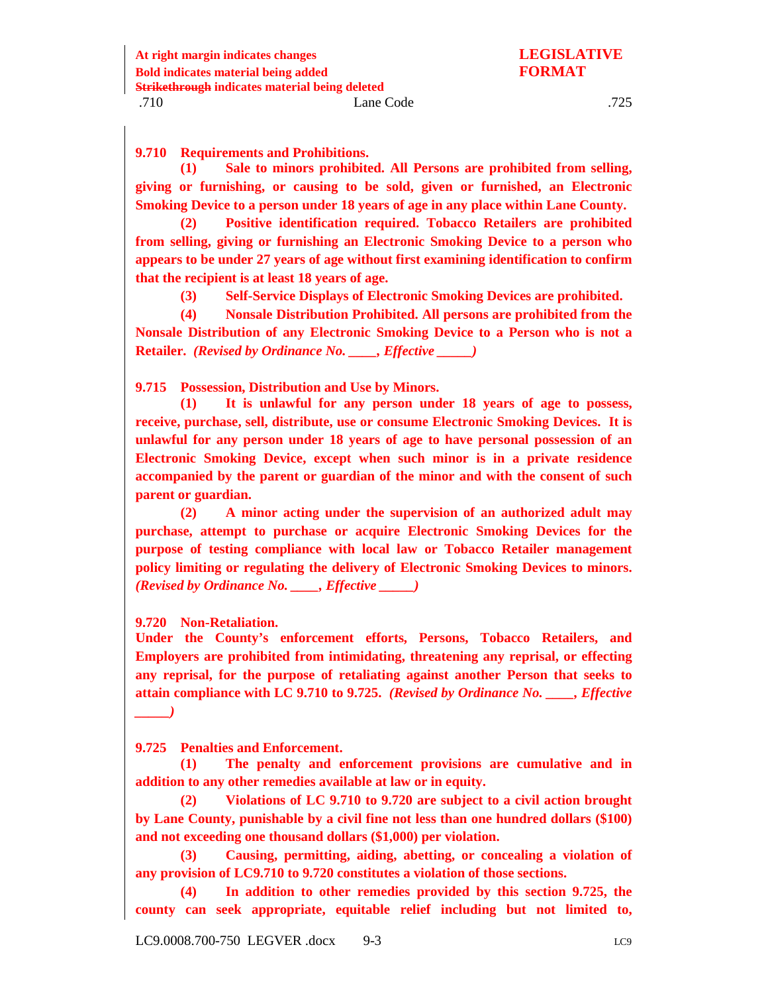<span id="page-14-0"></span>**9.710 Requirements and Prohibitions.**

**(1) Sale to minors prohibited. All Persons are prohibited from selling, giving or furnishing, or causing to be sold, given or furnished, an Electronic Smoking Device to a person under 18 years of age in any place within Lane County.**

**(2) Positive identification required. Tobacco Retailers are prohibited from selling, giving or furnishing an Electronic Smoking Device to a person who appears to be under 27 years of age without first examining identification to confirm that the recipient is at least 18 years of age.**

**(3) Self-Service Displays of Electronic Smoking Devices are prohibited.**

**(4) Nonsale Distribution Prohibited. All persons are prohibited from the Nonsale Distribution of any Electronic Smoking Device to a Person who is not a Retailer.** *(Revised by Ordinance No. \_\_\_\_, Effective \_\_\_\_\_)*

<span id="page-14-1"></span>**9.715 Possession, Distribution and Use by Minors.**

**(1) It is unlawful for any person under 18 years of age to possess, receive, purchase, sell, distribute, use or consume Electronic Smoking Devices. It is unlawful for any person under 18 years of age to have personal possession of an Electronic Smoking Device, except when such minor is in a private residence accompanied by the parent or guardian of the minor and with the consent of such parent or guardian.**

**(2) A minor acting under the supervision of an authorized adult may purchase, attempt to purchase or acquire Electronic Smoking Devices for the purpose of testing compliance with local law or Tobacco Retailer management policy limiting or regulating the delivery of Electronic Smoking Devices to minors.**  *(Revised by Ordinance No. \_\_\_\_, Effective \_\_\_\_\_)*

<span id="page-14-2"></span>**9.720 Non-Retaliation.**

**Under the County's enforcement efforts, Persons, Tobacco Retailers, and Employers are prohibited from intimidating, threatening any reprisal, or effecting any reprisal, for the purpose of retaliating against another Person that seeks to attain compliance with LC 9.710 to 9.725.** *(Revised by Ordinance No. \_\_\_\_, Effective \_\_\_\_\_)*

<span id="page-14-3"></span>**9.725 Penalties and Enforcement.**

**(1) The penalty and enforcement provisions are cumulative and in addition to any other remedies available at law or in equity.**

**(2) Violations of LC 9.710 to 9.720 are subject to a civil action brought by Lane County, punishable by a civil fine not less than one hundred dollars (\$100) and not exceeding one thousand dollars (\$1,000) per violation.**

**(3) Causing, permitting, aiding, abetting, or concealing a violation of any provision of LC9.710 to 9.720 constitutes a violation of those sections.**

**(4) In addition to other remedies provided by this section 9.725, the county can seek appropriate, equitable relief including but not limited to,**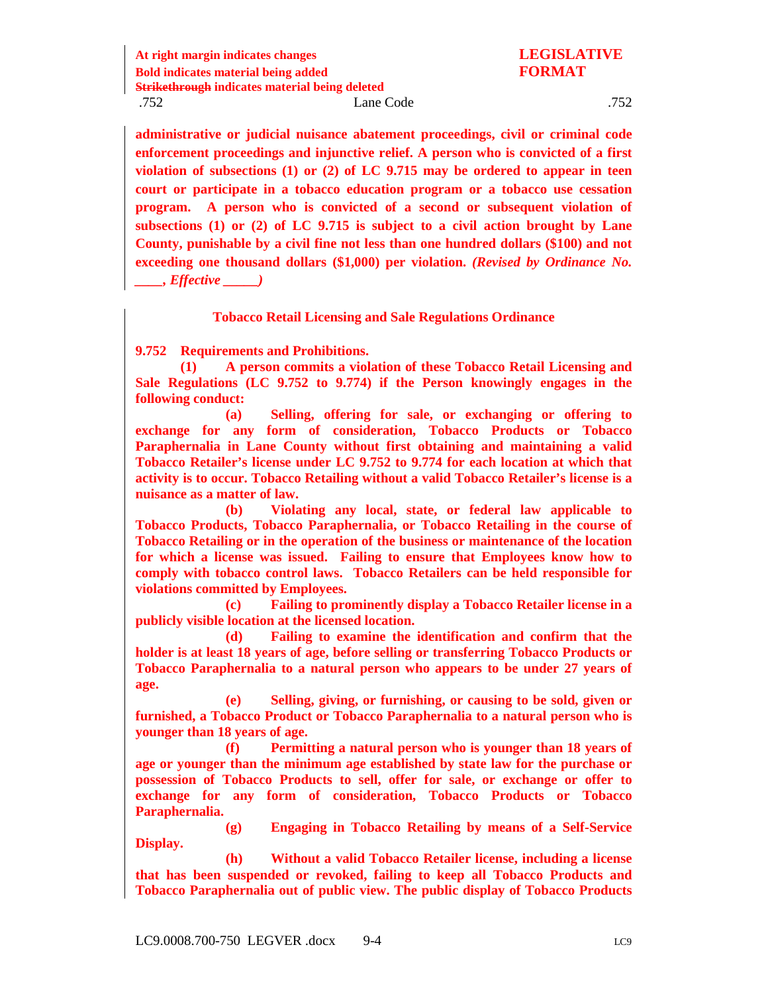**administrative or judicial nuisance abatement proceedings, civil or criminal code enforcement proceedings and injunctive relief. A person who is convicted of a first violation of subsections (1) or (2) of LC 9.715 may be ordered to appear in teen court or participate in a tobacco education program or a tobacco use cessation program. A person who is convicted of a second or subsequent violation of subsections (1) or (2) of LC 9.715 is subject to a civil action brought by Lane County, punishable by a civil fine not less than one hundred dollars (\$100) and not exceeding one thousand dollars (\$1,000) per violation.** *(Revised by Ordinance No. \_\_\_\_, Effective \_\_\_\_\_)*

#### **Tobacco Retail Licensing and Sale Regulations Ordinance**

<span id="page-15-0"></span>**9.752 Requirements and Prohibitions.**

**(1) A person commits a violation of these Tobacco Retail Licensing and Sale Regulations (LC 9.752 to 9.774) if the Person knowingly engages in the following conduct:** 

**(a) Selling, offering for sale, or exchanging or offering to exchange for any form of consideration, Tobacco Products or Tobacco Paraphernalia in Lane County without first obtaining and maintaining a valid Tobacco Retailer's license under LC 9.752 to 9.774 for each location at which that activity is to occur. Tobacco Retailing without a valid Tobacco Retailer's license is a nuisance as a matter of law.** 

**(b) Violating any local, state, or federal law applicable to Tobacco Products, Tobacco Paraphernalia, or Tobacco Retailing in the course of Tobacco Retailing or in the operation of the business or maintenance of the location for which a license was issued. Failing to ensure that Employees know how to comply with tobacco control laws. Tobacco Retailers can be held responsible for violations committed by Employees.**

**(c) Failing to prominently display a Tobacco Retailer license in a publicly visible location at the licensed location.**

**(d) Failing to examine the identification and confirm that the holder is at least 18 years of age, before selling or transferring Tobacco Products or Tobacco Paraphernalia to a natural person who appears to be under 27 years of age.**

**(e) Selling, giving, or furnishing, or causing to be sold, given or furnished, a Tobacco Product or Tobacco Paraphernalia to a natural person who is younger than 18 years of age.**

**(f) Permitting a natural person who is younger than 18 years of age or younger than the minimum age established by state law for the purchase or possession of Tobacco Products to sell, offer for sale, or exchange or offer to exchange for any form of consideration, Tobacco Products or Tobacco Paraphernalia.**

**(g) Engaging in Tobacco Retailing by means of a Self-Service Display.**

**(h) Without a valid Tobacco Retailer license, including a license that has been suspended or revoked, failing to keep all Tobacco Products and Tobacco Paraphernalia out of public view. The public display of Tobacco Products**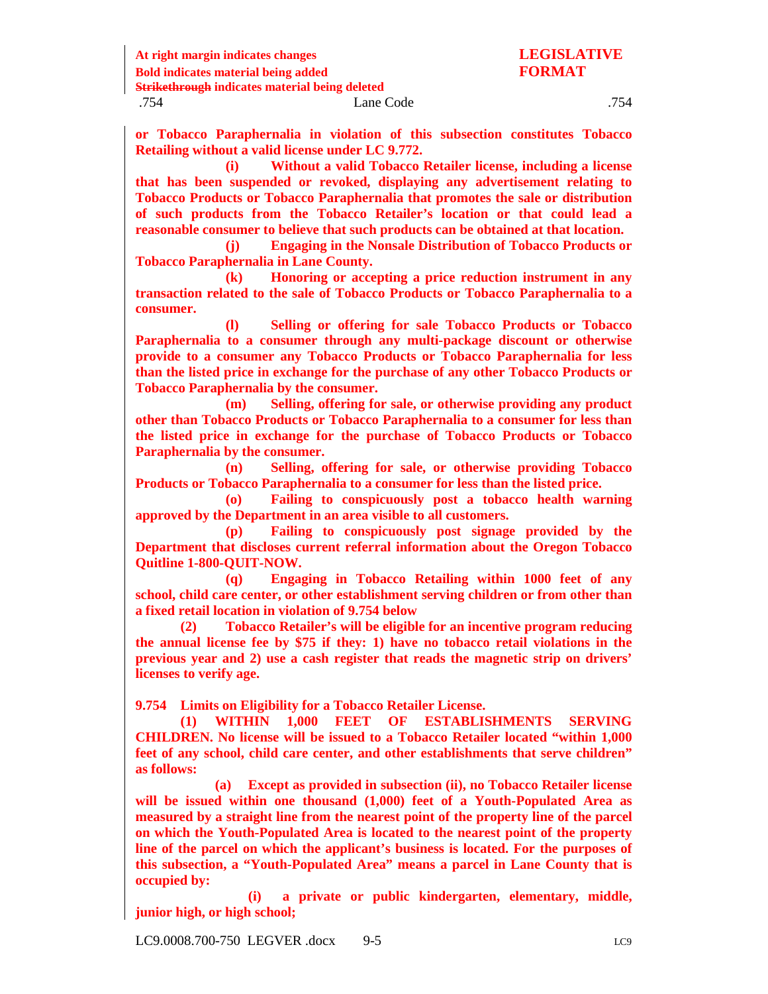**At right margin indicates changes LEGISLATIVE**

**Strikethrough indicates material being deleted**

**or Tobacco Paraphernalia in violation of this subsection constitutes Tobacco Retailing without a valid license under LC 9.772.**

**(i) Without a valid Tobacco Retailer license, including a license that has been suspended or revoked, displaying any advertisement relating to Tobacco Products or Tobacco Paraphernalia that promotes the sale or distribution of such products from the Tobacco Retailer's location or that could lead a reasonable consumer to believe that such products can be obtained at that location.**

**(j) Engaging in the Nonsale Distribution of Tobacco Products or Tobacco Paraphernalia in Lane County.** 

**(k) Honoring or accepting a price reduction instrument in any transaction related to the sale of Tobacco Products or Tobacco Paraphernalia to a consumer.**

**(l) Selling or offering for sale Tobacco Products or Tobacco Paraphernalia to a consumer through any multi-package discount or otherwise provide to a consumer any Tobacco Products or Tobacco Paraphernalia for less than the listed price in exchange for the purchase of any other Tobacco Products or Tobacco Paraphernalia by the consumer.**

**(m) Selling, offering for sale, or otherwise providing any product other than Tobacco Products or Tobacco Paraphernalia to a consumer for less than the listed price in exchange for the purchase of Tobacco Products or Tobacco Paraphernalia by the consumer.**

**(n) Selling, offering for sale, or otherwise providing Tobacco Products or Tobacco Paraphernalia to a consumer for less than the listed price.**

**(o) Failing to conspicuously post a tobacco health warning approved by the Department in an area visible to all customers.**

**(p) Failing to conspicuously post signage provided by the Department that discloses current referral information about the Oregon Tobacco Quitline 1-800-QUIT-NOW.**

**(q) Engaging in Tobacco Retailing within 1000 feet of any school, child care center, or other establishment serving children or from other than a fixed retail location in violation of 9.754 below**

**(2) Tobacco Retailer's will be eligible for an incentive program reducing the annual license fee by \$75 if they: 1) have no tobacco retail violations in the previous year and 2) use a cash register that reads the magnetic strip on drivers' licenses to verify age.**

<span id="page-16-0"></span>**9.754 Limits on Eligibility for a Tobacco Retailer License.**

**(1) WITHIN 1,000 FEET OF ESTABLISHMENTS SERVING CHILDREN. No license will be issued to a Tobacco Retailer located "within 1,000 feet of any school, child care center, and other establishments that serve children" as follows:**

**(a) Except as provided in subsection (ii), no Tobacco Retailer license will be issued within one thousand (1,000) feet of a Youth-Populated Area as measured by a straight line from the nearest point of the property line of the parcel on which the Youth-Populated Area is located to the nearest point of the property line of the parcel on which the applicant's business is located. For the purposes of this subsection, a "Youth-Populated Area" means a parcel in Lane County that is occupied by:** 

**(i) a private or public kindergarten, elementary, middle, junior high, or high school;**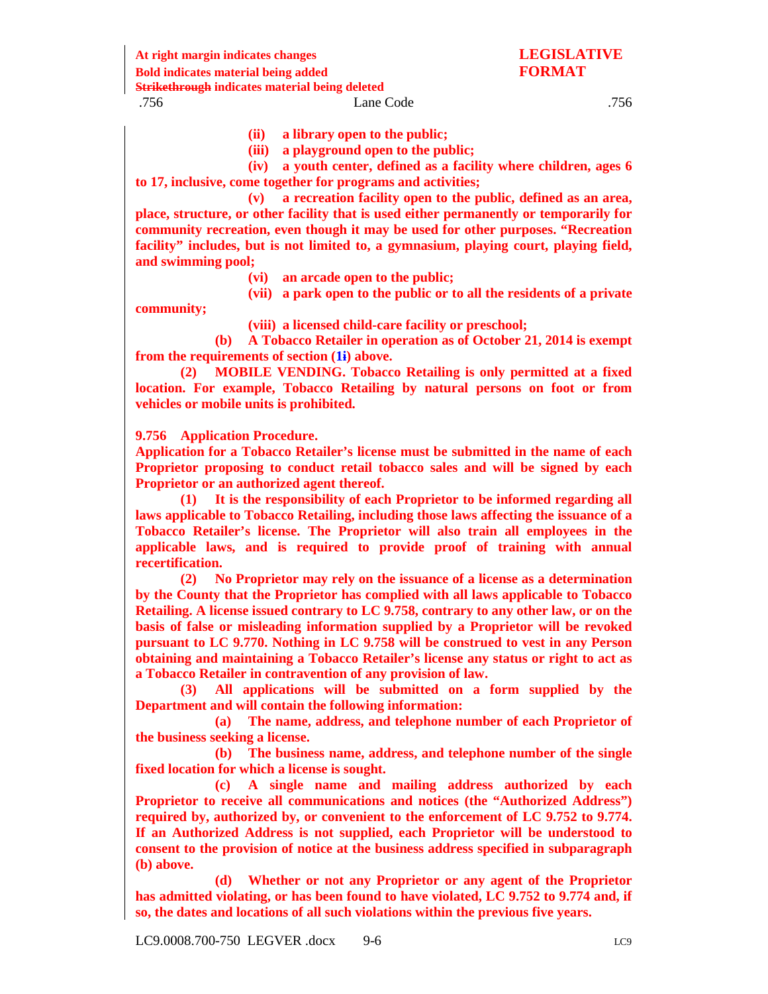**At right margin indicates changes LEGISLATIVE**

**Bold indicates material being added FORMAT**

**Strikethrough indicates material being deleted**

.756 Lane Code .756

**(ii) a library open to the public;** 

**(iii) a playground open to the public;** 

**(iv) a youth center, defined as a facility where children, ages 6 to 17, inclusive, come together for programs and activities;** 

**(v) a recreation facility open to the public, defined as an area, place, structure, or other facility that is used either permanently or temporarily for community recreation, even though it may be used for other purposes. "Recreation facility" includes, but is not limited to, a gymnasium, playing court, playing field, and swimming pool;**

**(vi) an arcade open to the public;** 

**(vii) a park open to the public or to all the residents of a private** 

**community;** 

**(viii) a licensed child-care facility or preschool;**

**(b) A Tobacco Retailer in operation as of October 21, 2014 is exempt from the requirements of section (1i) above.**

**(2) MOBILE VENDING. Tobacco Retailing is only permitted at a fixed location. For example, Tobacco Retailing by natural persons on foot or from vehicles or mobile units is prohibited.**

<span id="page-17-0"></span>**9.756 Application Procedure.**

**Application for a Tobacco Retailer's license must be submitted in the name of each Proprietor proposing to conduct retail tobacco sales and will be signed by each Proprietor or an authorized agent thereof.** 

**(1) It is the responsibility of each Proprietor to be informed regarding all laws applicable to Tobacco Retailing, including those laws affecting the issuance of a Tobacco Retailer's license. The Proprietor will also train all employees in the applicable laws, and is required to provide proof of training with annual recertification.**

**(2) No Proprietor may rely on the issuance of a license as a determination by the County that the Proprietor has complied with all laws applicable to Tobacco Retailing. A license issued contrary to LC 9.758, contrary to any other law, or on the basis of false or misleading information supplied by a Proprietor will be revoked pursuant to LC 9.770. Nothing in LC 9.758 will be construed to vest in any Person obtaining and maintaining a Tobacco Retailer's license any status or right to act as a Tobacco Retailer in contravention of any provision of law.** 

**(3) All applications will be submitted on a form supplied by the Department and will contain the following information:** 

**(a) The name, address, and telephone number of each Proprietor of the business seeking a license.**

**(b) The business name, address, and telephone number of the single fixed location for which a license is sought.**

**(c) A single name and mailing address authorized by each Proprietor to receive all communications and notices (the "Authorized Address") required by, authorized by, or convenient to the enforcement of LC 9.752 to 9.774. If an Authorized Address is not supplied, each Proprietor will be understood to consent to the provision of notice at the business address specified in subparagraph (b) above.**

**(d) Whether or not any Proprietor or any agent of the Proprietor has admitted violating, or has been found to have violated, LC 9.752 to 9.774 and, if so, the dates and locations of all such violations within the previous five years.**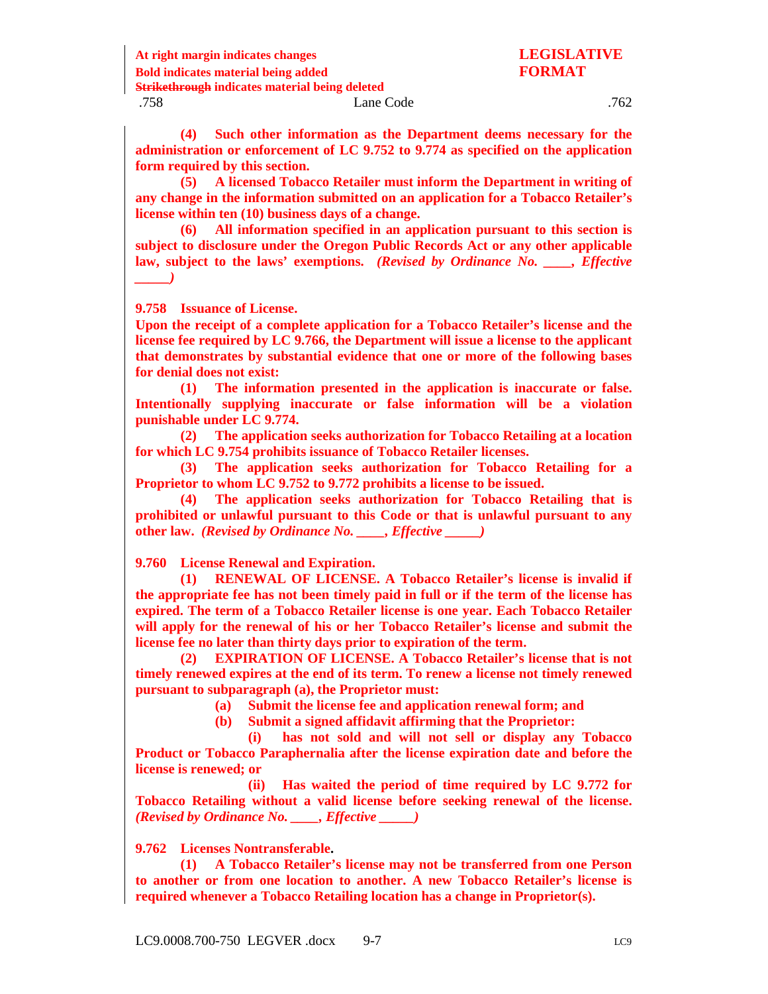**At right margin indicates changes LEGISLATIVE Bold indicates material being added FORMAT Strikethrough indicates material being deleted**

## .758 Lane Code .762

**(4) Such other information as the Department deems necessary for the administration or enforcement of LC 9.752 to 9.774 as specified on the application form required by this section.**

**(5) A licensed Tobacco Retailer must inform the Department in writing of any change in the information submitted on an application for a Tobacco Retailer's license within ten (10) business days of a change.**

**(6) All information specified in an application pursuant to this section is subject to disclosure under the Oregon Public Records Act or any other applicable law, subject to the laws' exemptions.** *(Revised by Ordinance No. \_\_\_\_, Effective \_\_\_\_\_)*

<span id="page-18-0"></span>**9.758 Issuance of License.**

**Upon the receipt of a complete application for a Tobacco Retailer's license and the license fee required by LC 9.766, the Department will issue a license to the applicant that demonstrates by substantial evidence that one or more of the following bases for denial does not exist:**

**(1) The information presented in the application is inaccurate or false. Intentionally supplying inaccurate or false information will be a violation punishable under LC 9.774.**

**(2) The application seeks authorization for Tobacco Retailing at a location for which LC 9.754 prohibits issuance of Tobacco Retailer licenses.** 

**(3) The application seeks authorization for Tobacco Retailing for a Proprietor to whom LC 9.752 to 9.772 prohibits a license to be issued.** 

**(4) The application seeks authorization for Tobacco Retailing that is prohibited or unlawful pursuant to this Code or that is unlawful pursuant to any other law.** *(Revised by Ordinance No. \_\_\_\_, Effective \_\_\_\_\_)*

<span id="page-18-1"></span>**9.760 License Renewal and Expiration.**

**(1) RENEWAL OF LICENSE. A Tobacco Retailer's license is invalid if the appropriate fee has not been timely paid in full or if the term of the license has expired. The term of a Tobacco Retailer license is one year. Each Tobacco Retailer will apply for the renewal of his or her Tobacco Retailer's license and submit the license fee no later than thirty days prior to expiration of the term.**

**(2) EXPIRATION OF LICENSE. A Tobacco Retailer's license that is not timely renewed expires at the end of its term. To renew a license not timely renewed pursuant to subparagraph (a), the Proprietor must:**

**(a) Submit the license fee and application renewal form; and**

**(b) Submit a signed affidavit affirming that the Proprietor:**

**(i) has not sold and will not sell or display any Tobacco Product or Tobacco Paraphernalia after the license expiration date and before the license is renewed; or** 

**(ii) Has waited the period of time required by LC 9.772 for Tobacco Retailing without a valid license before seeking renewal of the license.**  *(Revised by Ordinance No. \_\_\_\_, Effective \_\_\_\_\_)*

<span id="page-18-2"></span>**9.762 Licenses Nontransferable.**

**(1) A Tobacco Retailer's license may not be transferred from one Person to another or from one location to another. A new Tobacco Retailer's license is required whenever a Tobacco Retailing location has a change in Proprietor(s).**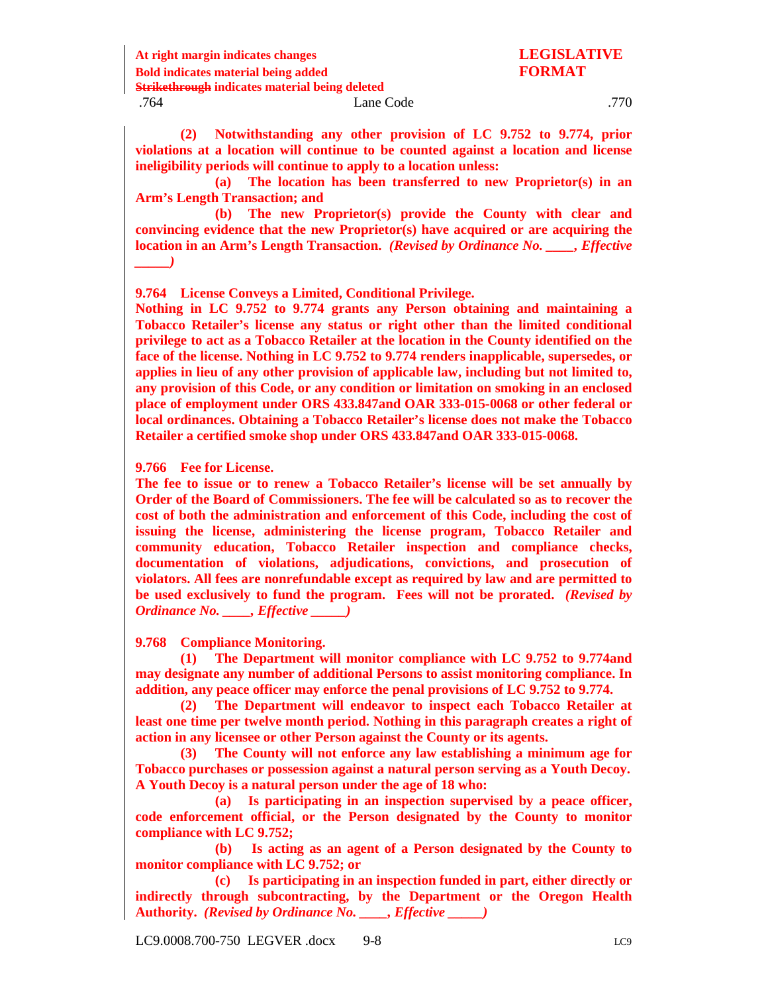**At right margin indicates changes LEGISLATIVE Bold indicates material being added FORMAT Strikethrough indicates material being deleted** .770 Lane Code .770

**(2) Notwithstanding any other provision of LC 9.752 to 9.774, prior violations at a location will continue to be counted against a location and license ineligibility periods will continue to apply to a location unless:** 

**(a) The location has been transferred to new Proprietor(s) in an Arm's Length Transaction; and**

**(b) The new Proprietor(s) provide the County with clear and convincing evidence that the new Proprietor(s) have acquired or are acquiring the location in an Arm's Length Transaction.** *(Revised by Ordinance No. \_\_\_\_, Effective \_\_\_\_\_)*

<span id="page-19-0"></span>**9.764 License Conveys a Limited, Conditional Privilege.**

**Nothing in LC 9.752 to 9.774 grants any Person obtaining and maintaining a Tobacco Retailer's license any status or right other than the limited conditional privilege to act as a Tobacco Retailer at the location in the County identified on the face of the license. Nothing in LC 9.752 to 9.774 renders inapplicable, supersedes, or applies in lieu of any other provision of applicable law, including but not limited to, any provision of this Code, or any condition or limitation on smoking in an enclosed place of employment under ORS 433.847and OAR 333-015-0068 or other federal or local ordinances. Obtaining a Tobacco Retailer's license does not make the Tobacco Retailer a certified smoke shop under ORS 433.847and OAR 333-015-0068.**

<span id="page-19-1"></span>**9.766 Fee for License.** 

**The fee to issue or to renew a Tobacco Retailer's license will be set annually by Order of the Board of Commissioners. The fee will be calculated so as to recover the cost of both the administration and enforcement of this Code, including the cost of issuing the license, administering the license program, Tobacco Retailer and community education, Tobacco Retailer inspection and compliance checks, documentation of violations, adjudications, convictions, and prosecution of violators. All fees are nonrefundable except as required by law and are permitted to be used exclusively to fund the program. Fees will not be prorated.** *(Revised by Ordinance No. \_\_\_\_, Effective \_\_\_\_\_)*

<span id="page-19-2"></span>**9.768 Compliance Monitoring.**

**(1) The Department will monitor compliance with LC 9.752 to 9.774and may designate any number of additional Persons to assist monitoring compliance. In addition, any peace officer may enforce the penal provisions of LC 9.752 to 9.774.** 

**(2) The Department will endeavor to inspect each Tobacco Retailer at least one time per twelve month period. Nothing in this paragraph creates a right of action in any licensee or other Person against the County or its agents.**

**(3) The County will not enforce any law establishing a minimum age for Tobacco purchases or possession against a natural person serving as a Youth Decoy. A Youth Decoy is a natural person under the age of 18 who:**

**(a) Is participating in an inspection supervised by a peace officer, code enforcement official, or the Person designated by the County to monitor compliance with LC 9.752;** 

**(b) Is acting as an agent of a Person designated by the County to monitor compliance with LC 9.752; or**

**(c) Is participating in an inspection funded in part, either directly or indirectly through subcontracting, by the Department or the Oregon Health Authority.** *(Revised by Ordinance No. \_\_\_\_, Effective \_\_\_\_\_)*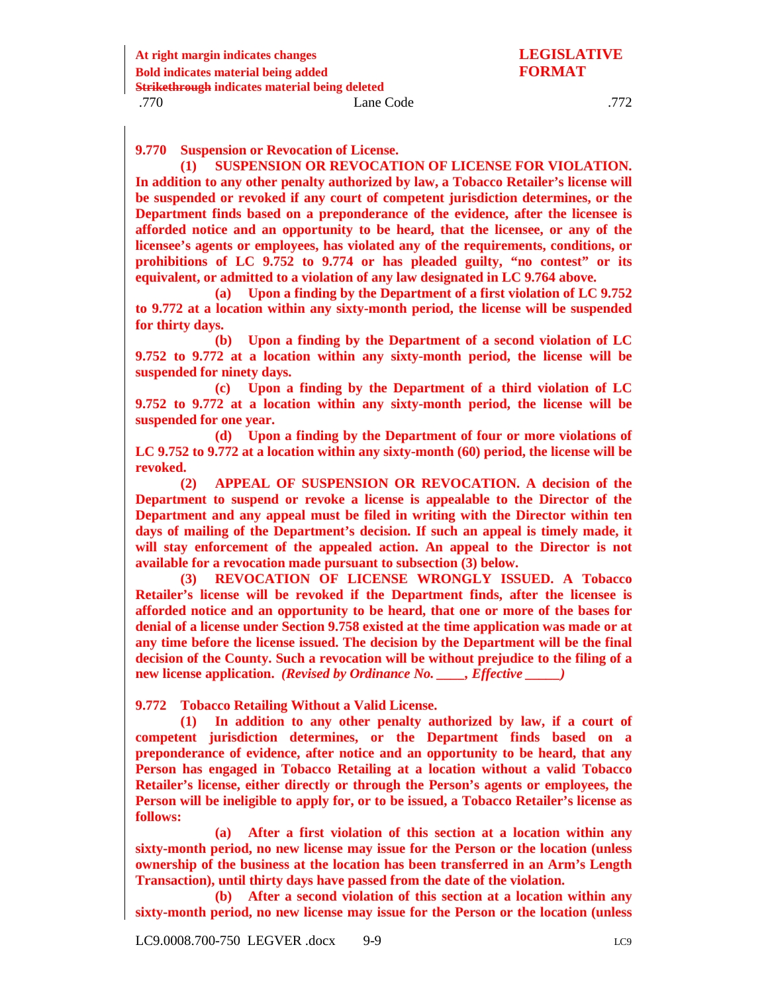<span id="page-20-0"></span>**9.770 Suspension or Revocation of License.**

**(1) SUSPENSION OR REVOCATION OF LICENSE FOR VIOLATION. In addition to any other penalty authorized by law, a Tobacco Retailer's license will be suspended or revoked if any court of competent jurisdiction determines, or the Department finds based on a preponderance of the evidence, after the licensee is afforded notice and an opportunity to be heard, that the licensee, or any of the licensee's agents or employees, has violated any of the requirements, conditions, or prohibitions of LC 9.752 to 9.774 or has pleaded guilty, "no contest" or its equivalent, or admitted to a violation of any law designated in LC 9.764 above.**

**(a) Upon a finding by the Department of a first violation of LC 9.752 to 9.772 at a location within any sixty-month period, the license will be suspended for thirty days.**

**(b) Upon a finding by the Department of a second violation of LC 9.752 to 9.772 at a location within any sixty-month period, the license will be suspended for ninety days.**

**(c) Upon a finding by the Department of a third violation of LC 9.752 to 9.772 at a location within any sixty-month period, the license will be suspended for one year.**

**(d) Upon a finding by the Department of four or more violations of LC 9.752 to 9.772 at a location within any sixty-month (60) period, the license will be revoked.**

**(2) APPEAL OF SUSPENSION OR REVOCATION. A decision of the Department to suspend or revoke a license is appealable to the Director of the Department and any appeal must be filed in writing with the Director within ten days of mailing of the Department's decision. If such an appeal is timely made, it will stay enforcement of the appealed action. An appeal to the Director is not available for a revocation made pursuant to subsection (3) below.**

**(3) REVOCATION OF LICENSE WRONGLY ISSUED. A Tobacco Retailer's license will be revoked if the Department finds, after the licensee is afforded notice and an opportunity to be heard, that one or more of the bases for denial of a license under Section 9.758 existed at the time application was made or at any time before the license issued. The decision by the Department will be the final decision of the County. Such a revocation will be without prejudice to the filing of a new license application.** *(Revised by Ordinance No. \_\_\_\_, Effective \_\_\_\_\_)*

<span id="page-20-1"></span>**9.772 Tobacco Retailing Without a Valid License.**

**(1) In addition to any other penalty authorized by law, if a court of competent jurisdiction determines, or the Department finds based on a preponderance of evidence, after notice and an opportunity to be heard, that any Person has engaged in Tobacco Retailing at a location without a valid Tobacco Retailer's license, either directly or through the Person's agents or employees, the Person will be ineligible to apply for, or to be issued, a Tobacco Retailer's license as follows:** 

**(a) After a first violation of this section at a location within any sixty-month period, no new license may issue for the Person or the location (unless ownership of the business at the location has been transferred in an Arm's Length Transaction), until thirty days have passed from the date of the violation.** 

**(b) After a second violation of this section at a location within any sixty-month period, no new license may issue for the Person or the location (unless**